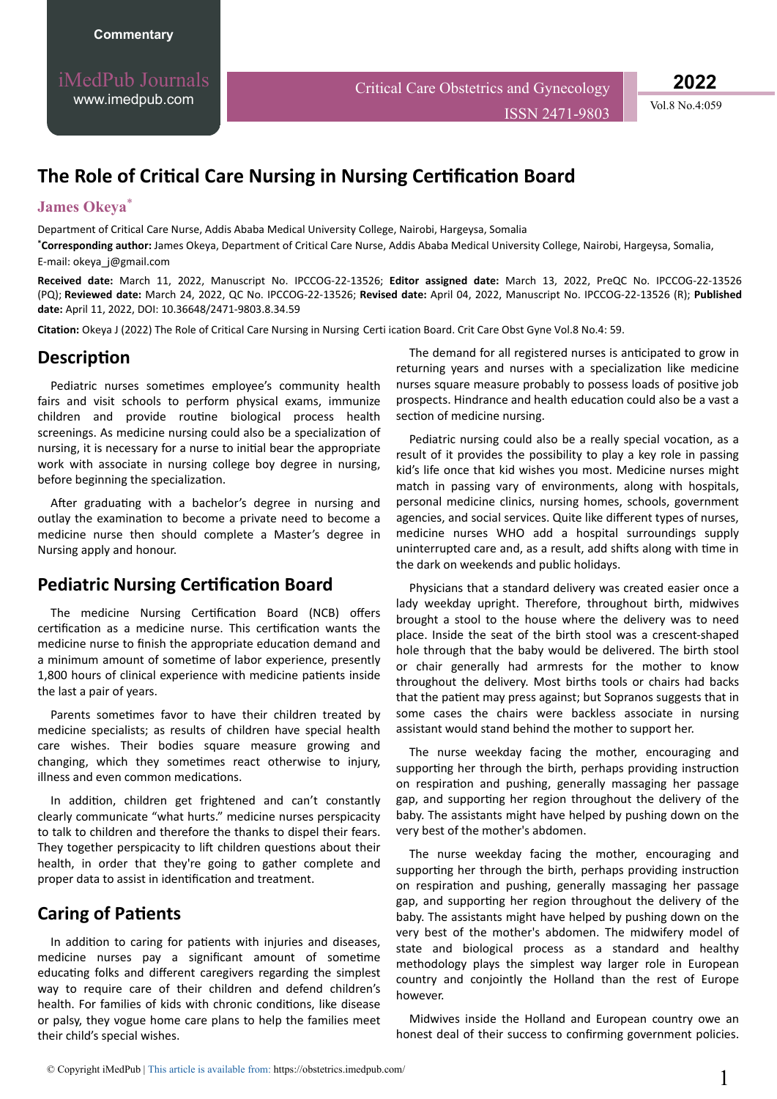iMedPub Journals [www.imedpub.com](http://www.imedpub.com/)

Critical Care Obstetrics and Gynecology

ISSN 2471-9803 Vol.8 No.4:059

**2022**

# **The Role of Critical Care Nursing in Nursing Certification Board**

#### **James Okeya**\*

Department of Critical Care Nurse, Addis Ababa Medical University College, Nairobi, Hargeysa, Somalia

**\*Corresponding author:** James Okeya, Department of Critical Care Nurse, Addis Ababa Medical University College, Nairobi, Hargeysa, Somalia, E-mail: [okeya\\_j@gmail.](mailto:okeya_j@gmail.com)com

**Received date:** March 11, 2022, Manuscript No. IPCCOG-22-13526; **Editor assigned date:** March 13, 2022, PreQC No. IPCCOG-22-13526 (PQ); **Reviewed date:** March 24, 2022, QC No. IPCCOG-22-13526; **Revised date:** April 04, 2022, Manuscript No. IPCCOG-22-13526 (R); **Published date:** April 11, 2022, DOI: 10.36648/2471-9803.8.34.59

Citation: Okeya J (2022) The Role of Critical Care Nursing in Nursing Certi ication Board. Crit Care Obst Gyne Vol.8 No.4: 59.

### **Description**

Pediatric nurses sometimes employee's community health fairs and visit schools to perform physical exams, immunize children and provide routine biological process health screenings. As medicine nursing could also be a specialization of nursing, it is necessary for a nurse to initial bear the appropriate work with associate in nursing college boy degree in nursing, before beginning the specialization.

After graduating with a bachelor's degree in nursing and outlay the examination to become a private need to become a medicine nurse then should complete a Master's degree in Nursing apply and honour.

### **Pediatric Nursing Certification Board**

The medicine Nursing Certification Board (NCB) offers certification as a medicine nurse. This certification wants the medicine nurse to finish the appropriate education demand and a minimum amount of sometime of labor experience, presently 1,800 hours of clinical experience with medicine patients inside the last a pair of years.

Parents sometimes favor to have their children treated by medicine specialists; as results of children have special health care wishes. Their bodies square measure growing and changing, which they sometimes react otherwise to injury, illness and even common medications.

In addition, children get frightened and can't constantly clearly communicate "what hurts." medicine nurses perspicacity to talk to children and therefore the thanks to dispel their fears. They together perspicacity to lift children questions about their health, in order that they're going to gather complete and proper data to assist in identification and treatment.

## **Caring of Patients**

In addition to caring for patients with injuries and diseases, medicine nurses pay a significant amount of sometime educating folks and different caregivers regarding the simplest way to require care of their children and defend children's health. For families of kids with chronic conditions, like disease or palsy, they vogue home care plans to help the families meet their child's special wishes.

The demand for all registered nurses is anticipated to grow in returning years and nurses with a specialization like medicine nurses square measure probably to possess loads of positive job prospects. Hindrance and health education could also be a vast a section of medicine nursing.

Pediatric nursing could also be a really special vocation, as a result of it provides the possibility to play a key role in passing kid's life once that kid wishes you most. Medicine nurses might match in passing vary of environments, along with hospitals, personal medicine clinics, nursing homes, schools, government agencies, and social services. Quite like different types of nurses, medicine nurses WHO add a hospital surroundings supply uninterrupted care and, as a result, add shifts along with time in the dark on weekends and public holidays.

Physicians that a standard delivery was created easier once a lady weekday upright. Therefore, throughout birth, midwives brought a stool to the house where the delivery was to need place. Inside the seat of the birth stool was a crescent-shaped hole through that the baby would be delivered. The birth stool or chair generally had armrests for the mother to know throughout the delivery. Most births tools or chairs had backs that the patient may press against; but Sopranos suggests that in some cases the chairs were backless associate in nursing assistant would stand behind the mother to support her.

The nurse weekday facing the mother, encouraging and supporting her through the birth, perhaps providing instruction on respiration and pushing, generally massaging her passage gap, and supporting her region throughout the delivery of the baby. The assistants might have helped by pushing down on the very best of the mother's abdomen.

The nurse weekday facing the mother, encouraging and supporting her through the birth, perhaps providing instruction on respiration and pushing, generally massaging her passage gap, and supporting her region throughout the delivery of the baby. The assistants might have helped by pushing down on the very best of the mother's abdomen. The midwifery model of state and biological process as a standard and healthy methodology plays the simplest way larger role in European country and conjointly the Holland than the rest of Europe however.

Midwives inside the Holland and European country owe an honest deal of their success to confirming government policies.